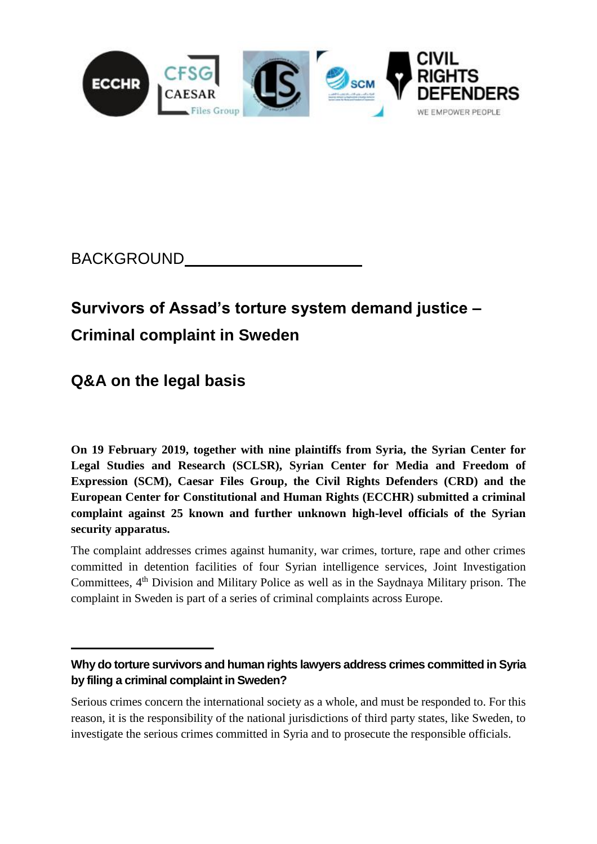

## BACKGROUND

# **Survivors of Assad's torture system demand justice – Criminal complaint in Sweden**

## **Q&A on the legal basis**

**On 19 February 2019, together with nine plaintiffs from Syria, the Syrian Center for Legal Studies and Research (SCLSR), Syrian Center for Media and Freedom of Expression (SCM), Caesar Files Group, the Civil Rights Defenders (CRD) and the European Center for Constitutional and Human Rights (ECCHR) submitted a criminal complaint against 25 known and further unknown high-level officials of the Syrian security apparatus.** 

The complaint addresses crimes against humanity, war crimes, torture, rape and other crimes committed in detention facilities of four Syrian intelligence services, Joint Investigation Committees, 4<sup>th</sup> Division and Military Police as well as in the Saydnaya Military prison. The complaint in Sweden is part of a series of criminal complaints across Europe.

Serious crimes concern the international society as a whole, and must be responded to. For this reason, it is the responsibility of the national jurisdictions of third party states, like Sweden, to investigate the serious crimes committed in Syria and to prosecute the responsible officials.

**Why do torture survivors and human rights lawyers address crimes committed in Syria by filing a criminal complaint in Sweden?**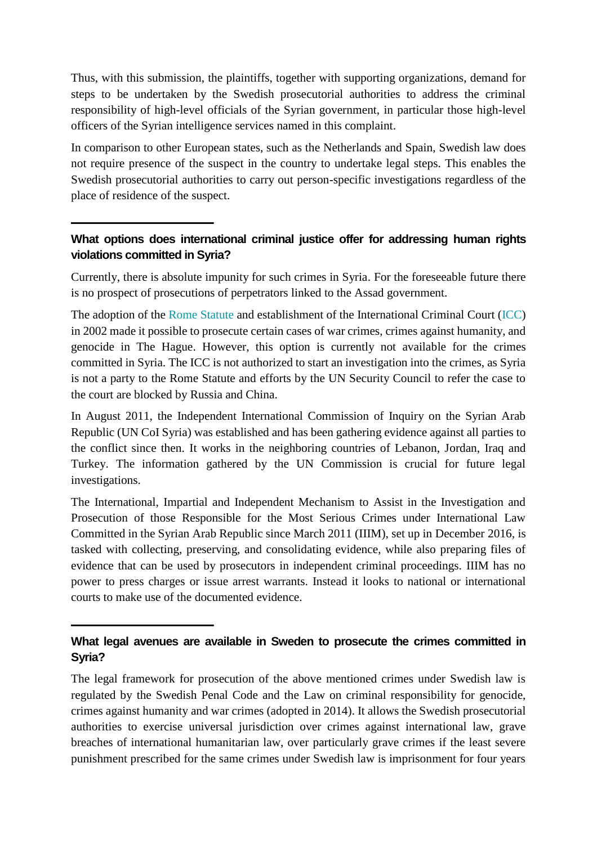Thus, with this submission, the plaintiffs, together with supporting organizations, demand for steps to be undertaken by the Swedish prosecutorial authorities to address the criminal responsibility of high-level officials of the Syrian government, in particular those high-level officers of the Syrian intelligence services named in this complaint.

In comparison to other European states, such as the Netherlands and Spain, Swedish law does not require presence of the suspect in the country to undertake legal steps. This enables the Swedish prosecutorial authorities to carry out person-specific investigations regardless of the place of residence of the suspect.

### **What options does international criminal justice offer for addressing human rights violations committed in Syria?**

Currently, there is absolute impunity for such crimes in Syria. For the foreseeable future there is no prospect of prosecutions of perpetrators linked to the Assad government.

The adoption of the [Rome Statute](http://www.auswaertiges-amt.de/cae/servlet/contentblob/340540/publicationFile/3556/RoemischesStatut.pdf) and establishment of the International Criminal Court [\(ICC\)](https://www.icc-cpi.int/) in 2002 made it possible to prosecute certain cases of war crimes, crimes against humanity, and genocide in The Hague. However, this option is currently not available for the crimes committed in Syria. The ICC is not authorized to start an investigation into the crimes, as Syria is not a party to the Rome Statute and efforts by the UN Security Council to refer the case to the court are blocked by Russia and China.

In August 2011, the Independent International Commission of Inquiry on the Syrian Arab Republic (UN CoI Syria) was established and has been gathering evidence against all parties to the conflict since then. It works in the neighboring countries of Lebanon, Jordan, Iraq and Turkey. The information gathered by the UN Commission is crucial for future legal investigations.

The International, Impartial and Independent Mechanism to Assist in the Investigation and Prosecution of those Responsible for the Most Serious Crimes under International Law Committed in the Syrian Arab Republic since March 2011 (IIIM), set up in December 2016, is tasked with collecting, preserving, and consolidating evidence, while also preparing files of evidence that can be used by prosecutors in independent criminal proceedings. IIIM has no power to press charges or issue arrest warrants. Instead it looks to national or international courts to make use of the documented evidence.

#### **What legal avenues are available in Sweden to prosecute the crimes committed in Syria?**

The legal framework for prosecution of the above mentioned crimes under Swedish law is regulated by the Swedish Penal Code and the Law on criminal responsibility for genocide, crimes against humanity and war crimes (adopted in 2014). It allows the Swedish prosecutorial authorities to exercise universal jurisdiction over crimes against international law, grave breaches of international humanitarian law, over particularly grave crimes if the least severe punishment prescribed for the same crimes under Swedish law is imprisonment for four years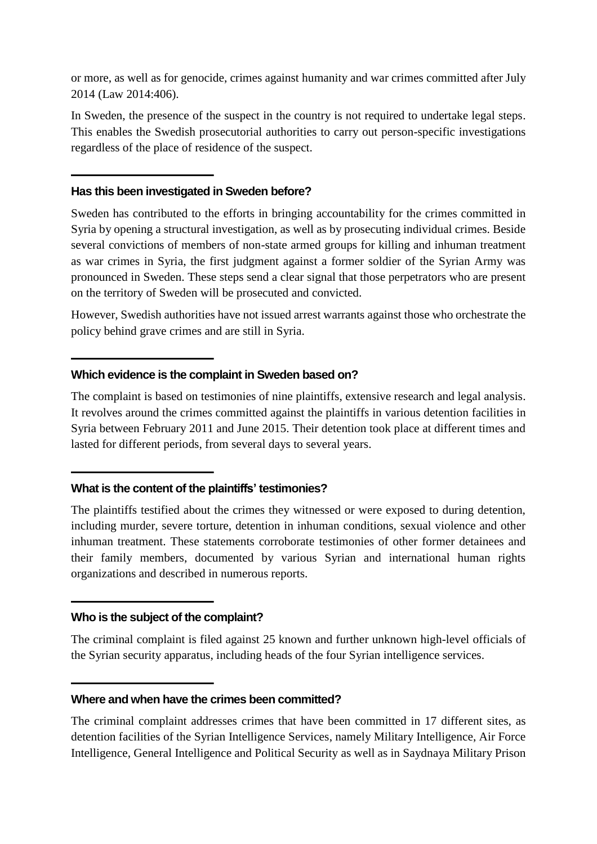or more, as well as for genocide, crimes against humanity and war crimes committed after July 2014 (Law 2014:406).

In Sweden, the presence of the suspect in the country is not required to undertake legal steps. This enables the Swedish prosecutorial authorities to carry out person-specific investigations regardless of the place of residence of the suspect.

#### **Has this been investigated in Sweden before?**

Sweden has contributed to the efforts in bringing accountability for the crimes committed in Syria by opening a structural investigation, as well as by prosecuting individual crimes. Beside several convictions of members of non-state armed groups for killing and inhuman treatment as war crimes in Syria, the first judgment against a former soldier of the Syrian Army was pronounced in Sweden. These steps send a clear signal that those perpetrators who are present on the territory of Sweden will be prosecuted and convicted.

However, Swedish authorities have not issued arrest warrants against those who orchestrate the policy behind grave crimes and are still in Syria.

#### **Which evidence is the complaint in Sweden based on?**

The complaint is based on testimonies of nine plaintiffs, extensive research and legal analysis. It revolves around the crimes committed against the plaintiffs in various detention facilities in Syria between February 2011 and June 2015. Their detention took place at different times and lasted for different periods, from several days to several years.

#### **What is the content of the plaintiffs' testimonies?**

The plaintiffs testified about the crimes they witnessed or were exposed to during detention, including murder, severe torture, detention in inhuman conditions, sexual violence and other inhuman treatment. These statements corroborate testimonies of other former detainees and their family members, documented by various Syrian and international human rights organizations and described in numerous reports.

#### **Who is the subject of the complaint?**

The criminal complaint is filed against 25 known and further unknown high-level officials of the Syrian security apparatus, including heads of the four Syrian intelligence services.

#### **Where and when have the crimes been committed?**

The criminal complaint addresses crimes that have been committed in 17 different sites, as detention facilities of the Syrian Intelligence Services, namely Military Intelligence, Air Force Intelligence, General Intelligence and Political Security as well as in Saydnaya Military Prison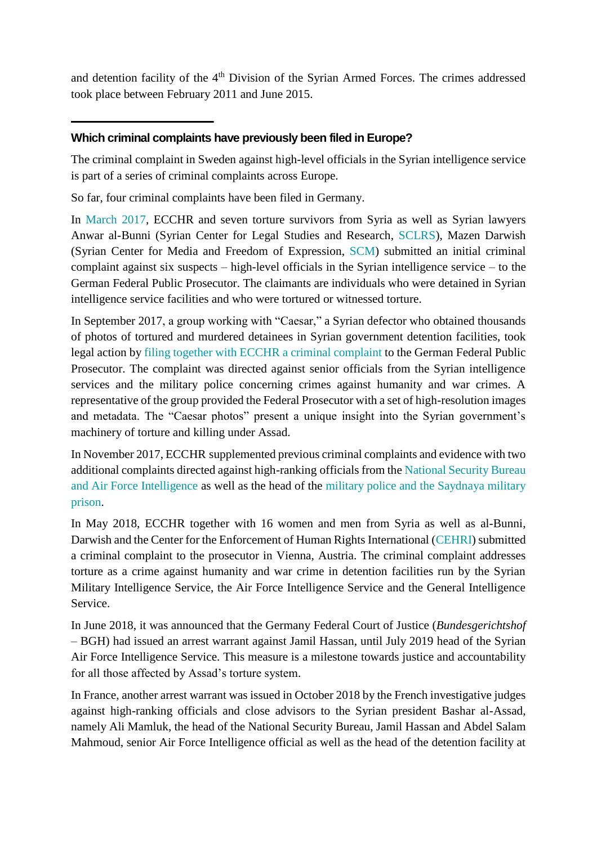and detention facility of the 4<sup>th</sup> Division of the Syrian Armed Forces. The crimes addressed took place between February 2011 and June 2015.

#### **Which criminal complaints have previously been filed in Europe?**

The criminal complaint in Sweden against high-level officials in the Syrian intelligence service is part of a series of criminal complaints across Europe.

So far, four criminal complaints have been filed in Germany.

In [March 2017,](https://www.ecchr.eu/en/international-crimes-and-accountability/syria/torture-under-assad.html) ECCHR and seven torture survivors from Syria as well as Syrian lawyers Anwar al-Bunni (Syrian Center for Legal Studies and Research, [SCLRS\)](http://www.sl-center.org/?language=english), Mazen Darwish (Syrian Center for Media and Freedom of Expression, [SCM\)](https://scm.bz/en/) submitted an initial criminal complaint against six suspects – high-level officials in the Syrian intelligence service – to the German Federal Public Prosecutor. The claimants are individuals who were detained in Syrian intelligence service facilities and who were tortured or witnessed torture.

In September 2017, a group working with "Caesar," a Syrian defector who obtained thousands of photos of tortured and murdered detainees in Syrian government detention facilities, took legal action by [filing together with ECCHR a criminal complaint](https://www.ecchr.eu/en/case/caesar-photos-document-systematic-torture/) to the German Federal Public Prosecutor. The complaint was directed against senior officials from the Syrian intelligence services and the military police concerning crimes against humanity and war crimes. A representative of the group provided the Federal Prosecutor with a set of high-resolution images and metadata. The "Caesar photos" present a unique insight into the Syrian government's machinery of torture and killing under Assad.

In November 2017, ECCHR supplemented previous criminal complaints and evidence with two additional complaints directed against high-ranking officials from the [National Security Bureau](https://www.ecchr.eu/en/international-crimes-and-accountability/syria/saydnaya-air-force-intelligence.html)  [and Air Force Intelligence](https://www.ecchr.eu/en/international-crimes-and-accountability/syria/saydnaya-air-force-intelligence.html) as well as the head of the [military police and the Saydnaya military](https://www.ecchr.eu/en/international-crimes-and-accountability/syria/saydnaya-air-force-intelligence.html)  [prison.](https://www.ecchr.eu/en/international-crimes-and-accountability/syria/saydnaya-air-force-intelligence.html)

In May 2018, ECCHR together with 16 women and men from Syria as well as al-Bunni, Darwish and the Center for the Enforcement of Human Rights International [\(CEHRI\)](http://www.cehri.org/) submitted a criminal complaint to the prosecutor in Vienna, Austria. The criminal complaint addresses torture as a crime against humanity and war crime in detention facilities run by the Syrian Military Intelligence Service, the Air Force Intelligence Service and the General Intelligence Service.

In June 2018, it was announced that the Germany Federal Court of Justice (*Bundesgerichtshof* – BGH) had issued an arrest warrant against Jamil Hassan, until July 2019 head of the Syrian Air Force Intelligence Service. This measure is a milestone towards justice and accountability for all those affected by Assad's torture system.

In France, another arrest warrant was issued in October 2018 by the French investigative judges against high-ranking officials and close advisors to the Syrian president Bashar al-Assad, namely Ali Mamluk, the head of the National Security Bureau, Jamil Hassan and Abdel Salam Mahmoud, senior Air Force Intelligence official as well as the head of the detention facility at